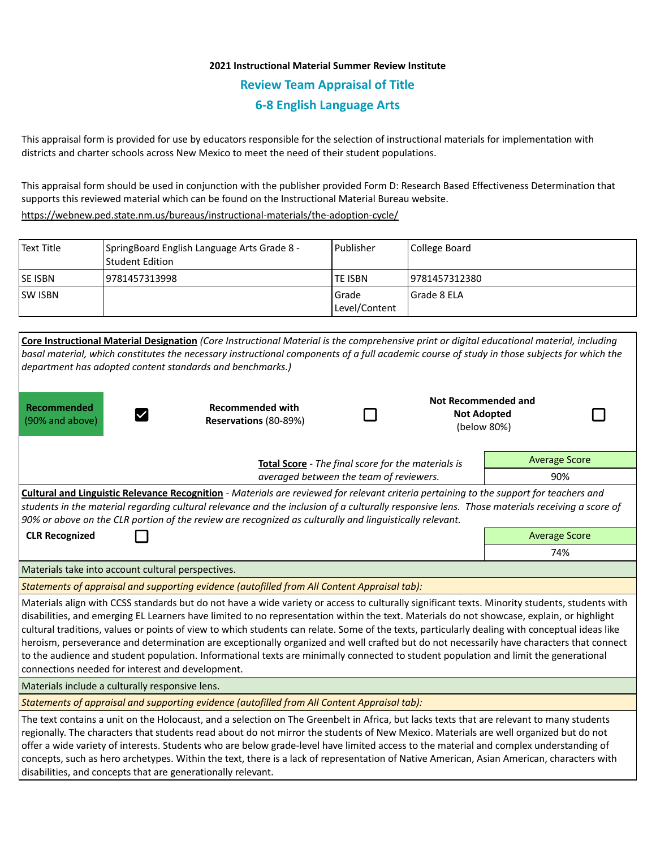# **2021 Instructional Material Summer Review Institute Review Team Appraisal of Title 6-8 English Language Arts**

This appraisal form is provided for use by educators responsible for the selection of instructional materials for implementation with districts and charter schools across New Mexico to meet the need of their student populations.

This appraisal form should be used in conjunction with the publisher provided Form D: Research Based Effectiveness Determination that supports this reviewed material which can be found on the Instructional Material Bureau website.

<https://webnew.ped.state.nm.us/bureaus/instructional-materials/the-adoption-cycle/>

| Text Title      | SpringBoard English Language Arts Grade 8 -<br>  Student Edition | Publisher                | College Board  |
|-----------------|------------------------------------------------------------------|--------------------------|----------------|
| <b>ISE ISBN</b> | 9781457313998                                                    | <b>TE ISBN</b>           | 19781457312380 |
| <b>ISW ISBN</b> |                                                                  | l Grade<br>Level/Content | Grade 8 ELA    |

| Core Instructional Material Designation (Core Instructional Material is the comprehensive print or digital educational material, including<br>basal material, which constitutes the necessary instructional components of a full academic course of study in those subjects for which the<br>department has adopted content standards and benchmarks.)                                                                                                                                                                                                                                                                                                                                                                                                                                 |                                                    |     |  |                                                                 |  |  |  |  |
|----------------------------------------------------------------------------------------------------------------------------------------------------------------------------------------------------------------------------------------------------------------------------------------------------------------------------------------------------------------------------------------------------------------------------------------------------------------------------------------------------------------------------------------------------------------------------------------------------------------------------------------------------------------------------------------------------------------------------------------------------------------------------------------|----------------------------------------------------|-----|--|-----------------------------------------------------------------|--|--|--|--|
| Recommended<br>(90% and above)                                                                                                                                                                                                                                                                                                                                                                                                                                                                                                                                                                                                                                                                                                                                                         | <b>Recommended with</b><br>Reservations (80-89%)   |     |  | <b>Not Recommended and</b><br><b>Not Adopted</b><br>(below 80%) |  |  |  |  |
|                                                                                                                                                                                                                                                                                                                                                                                                                                                                                                                                                                                                                                                                                                                                                                                        | Total Score - The final score for the materials is |     |  |                                                                 |  |  |  |  |
| averaged between the team of reviewers.                                                                                                                                                                                                                                                                                                                                                                                                                                                                                                                                                                                                                                                                                                                                                |                                                    |     |  | 90%                                                             |  |  |  |  |
| Cultural and Linguistic Relevance Recognition - Materials are reviewed for relevant criteria pertaining to the support for teachers and<br>students in the material regarding cultural relevance and the inclusion of a culturally responsive lens. Those materials receiving a score of<br>90% or above on the CLR portion of the review are recognized as culturally and linguistically relevant.                                                                                                                                                                                                                                                                                                                                                                                    |                                                    |     |  |                                                                 |  |  |  |  |
| <b>CLR Recognized</b>                                                                                                                                                                                                                                                                                                                                                                                                                                                                                                                                                                                                                                                                                                                                                                  |                                                    |     |  | <b>Average Score</b>                                            |  |  |  |  |
|                                                                                                                                                                                                                                                                                                                                                                                                                                                                                                                                                                                                                                                                                                                                                                                        |                                                    | 74% |  |                                                                 |  |  |  |  |
| Materials take into account cultural perspectives.                                                                                                                                                                                                                                                                                                                                                                                                                                                                                                                                                                                                                                                                                                                                     |                                                    |     |  |                                                                 |  |  |  |  |
| Statements of appraisal and supporting evidence (autofilled from All Content Appraisal tab):                                                                                                                                                                                                                                                                                                                                                                                                                                                                                                                                                                                                                                                                                           |                                                    |     |  |                                                                 |  |  |  |  |
| Materials align with CCSS standards but do not have a wide variety or access to culturally significant texts. Minority students, students with<br>disabilities, and emerging EL Learners have limited to no representation within the text. Materials do not showcase, explain, or highlight<br>cultural traditions, values or points of view to which students can relate. Some of the texts, particularly dealing with conceptual ideas like<br>heroism, perseverance and determination are exceptionally organized and well crafted but do not necessarily have characters that connect<br>to the audience and student population. Informational texts are minimally connected to student population and limit the generational<br>connections needed for interest and development. |                                                    |     |  |                                                                 |  |  |  |  |
| Materials include a culturally responsive lens.                                                                                                                                                                                                                                                                                                                                                                                                                                                                                                                                                                                                                                                                                                                                        |                                                    |     |  |                                                                 |  |  |  |  |
| Statements of appraisal and supporting evidence (autofilled from All Content Appraisal tab):                                                                                                                                                                                                                                                                                                                                                                                                                                                                                                                                                                                                                                                                                           |                                                    |     |  |                                                                 |  |  |  |  |
| The text contains a unit on the Holocaust, and a selection on The Greenbelt in Africa, but lacks texts that are relevant to many students<br>regionally. The characters that students read about do not mirror the students of New Mexico. Materials are well organized but do not<br>offer a wide variety of interests. Students who are below grade-level have limited access to the material and complex understanding of<br>concepts, such as hero archetypes. Within the text, there is a lack of representation of Native American, Asian American, characters with<br>disabilities, and concepts that are generationally relevant.                                                                                                                                              |                                                    |     |  |                                                                 |  |  |  |  |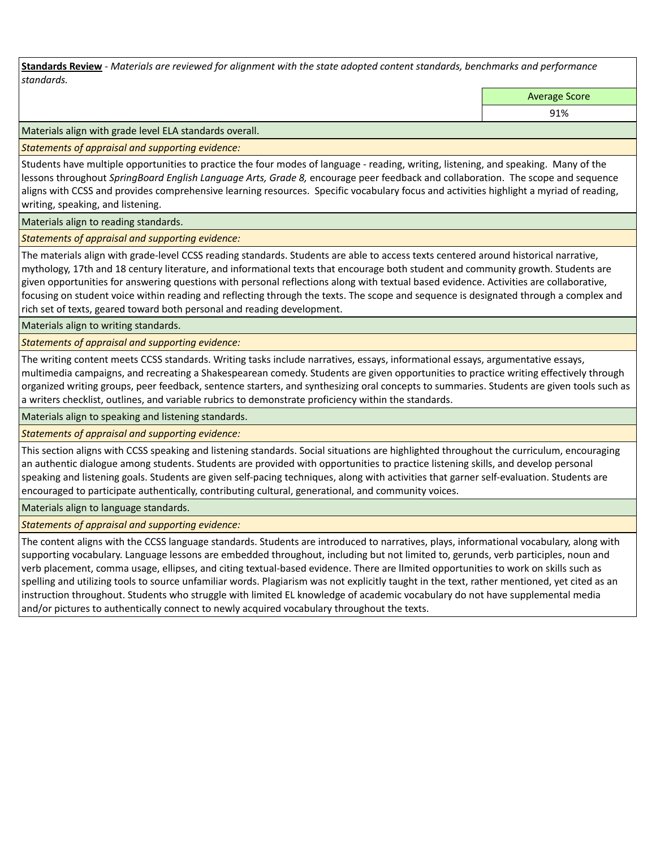**Standards Review** *- Materials are reviewed for alignment with the state adopted content standards, benchmarks and performance standards.*

Average Score

91%

Materials align with grade level ELA standards overall.

*Statements of appraisal and supporting evidence:* 

Students have multiple opportunities to practice the four modes of language - reading, writing, listening, and speaking. Many of the lessons throughout *SpringBoard English Language Arts, Grade 8,* encourage peer feedback and collaboration. The scope and sequence aligns with CCSS and provides comprehensive learning resources. Specific vocabulary focus and activities highlight a myriad of reading, writing, speaking, and listening.

Materials align to reading standards.

*Statements of appraisal and supporting evidence:* 

The materials align with grade-level CCSS reading standards. Students are able to access texts centered around historical narrative, mythology, 17th and 18 century literature, and informational texts that encourage both student and community growth. Students are given opportunities for answering questions with personal reflections along with textual based evidence. Activities are collaborative, focusing on student voice within reading and reflecting through the texts. The scope and sequence is designated through a complex and rich set of texts, geared toward both personal and reading development.

Materials align to writing standards.

*Statements of appraisal and supporting evidence:* 

The writing content meets CCSS standards. Writing tasks include narratives, essays, informational essays, argumentative essays, multimedia campaigns, and recreating a Shakespearean comedy. Students are given opportunities to practice writing effectively through organized writing groups, peer feedback, sentence starters, and synthesizing oral concepts to summaries. Students are given tools such as a writers checklist, outlines, and variable rubrics to demonstrate proficiency within the standards.

Materials align to speaking and listening standards.

*Statements of appraisal and supporting evidence:* 

This section aligns with CCSS speaking and listening standards. Social situations are highlighted throughout the curriculum, encouraging an authentic dialogue among students. Students are provided with opportunities to practice listening skills, and develop personal speaking and listening goals. Students are given self-pacing techniques, along with activities that garner self-evaluation. Students are encouraged to participate authentically, contributing cultural, generational, and community voices.

Materials align to language standards.

*Statements of appraisal and supporting evidence:* 

The content aligns with the CCSS language standards. Students are introduced to narratives, plays, informational vocabulary, along with supporting vocabulary. Language lessons are embedded throughout, including but not limited to, gerunds, verb participles, noun and verb placement, comma usage, ellipses, and citing textual-based evidence. There are lImited opportunities to work on skills such as spelling and utilizing tools to source unfamiliar words. Plagiarism was not explicitly taught in the text, rather mentioned, yet cited as an instruction throughout. Students who struggle with limited EL knowledge of academic vocabulary do not have supplemental media and/or pictures to authentically connect to newly acquired vocabulary throughout the texts.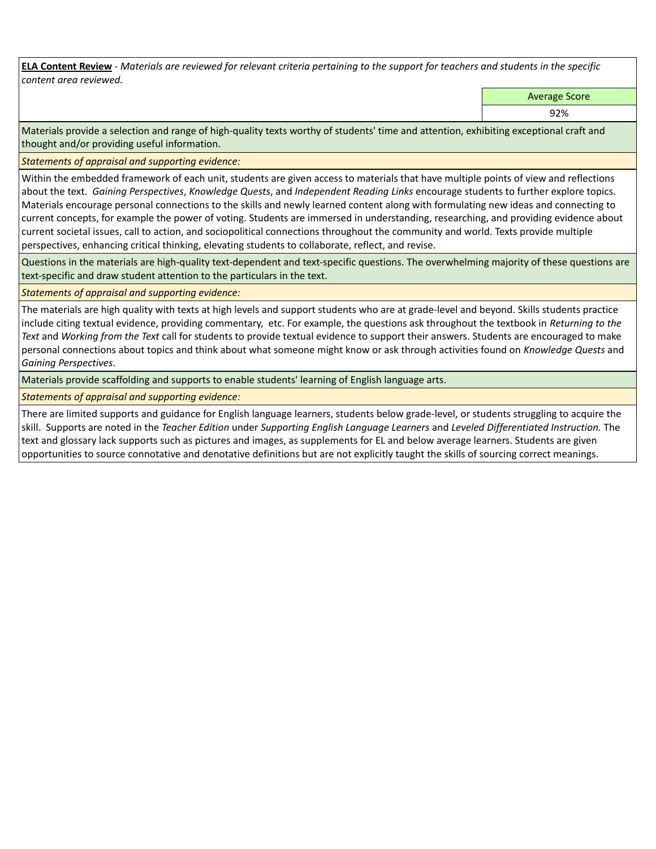**ELA Content Review** *- Materials are reviewed for relevant criteria pertaining to the support for teachers and students in the specific content area reviewed.*

Average Score

92%

Materials provide a selection and range of high-quality texts worthy of students' time and attention, exhibiting exceptional craft and thought and/or providing useful information.

*Statements of appraisal and supporting evidence:* 

Within the embedded framework of each unit, students are given access to materials that have multiple points of view and reflections about the text. *Gaining Perspectives*, *Knowledge Quests*, and *Independent Reading Links* encourage students to further explore topics. Materials encourage personal connections to the skills and newly learned content along with formulating new ideas and connecting to current concepts, for example the power of voting. Students are immersed in understanding, researching, and providing evidence about current societal issues, call to action, and sociopolitical connections throughout the community and world. Texts provide multiple perspectives, enhancing critical thinking, elevating students to collaborate, reflect, and revise.

Questions in the materials are high-quality text-dependent and text-specific questions. The overwhelming majority of these questions are text-specific and draw student attention to the particulars in the text.

## *Statements of appraisal and supporting evidence:*

The materials are high quality with texts at high levels and support students who are at grade-level and beyond. Skills students practice include citing textual evidence, providing commentary, etc. For example, the questions ask throughout the textbook in *Returning to the Text* and *Working from the Text* call for students to provide textual evidence to support their answers. Students are encouraged to make personal connections about topics and think about what someone might know or ask through activities found on *Knowledge Quests* and *Gaining Perspectives*.

Materials provide scaffolding and supports to enable students' learning of English language arts.

*Statements of appraisal and supporting evidence:* 

There are limited supports and guidance for English language learners, students below grade-level, or students struggling to acquire the skill. Supports are noted in the *Teacher Edition* under *Supporting English Language Learners* and *Leveled Differentiated Instruction.* The text and glossary lack supports such as pictures and images, as supplements for EL and below average learners. Students are given opportunities to source connotative and denotative definitions but are not explicitly taught the skills of sourcing correct meanings.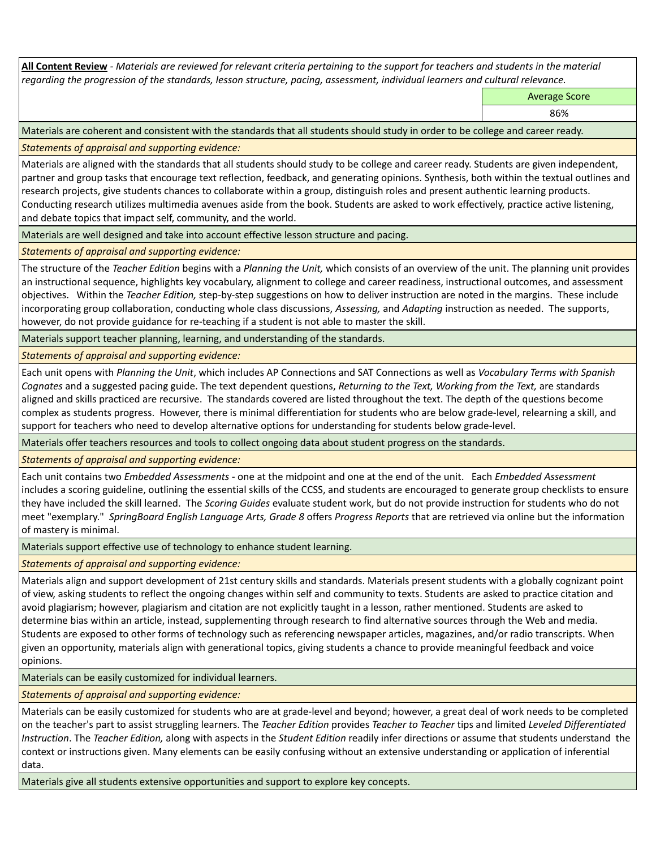**All Content Review** *- Materials are reviewed for relevant criteria pertaining to the support for teachers and students in the material regarding the progression of the standards, lesson structure, pacing, assessment, individual learners and cultural relevance.*

Average Score

86%

Materials are coherent and consistent with the standards that all students should study in order to be college and career ready.

*Statements of appraisal and supporting evidence:*

Materials are aligned with the standards that all students should study to be college and career ready. Students are given independent, partner and group tasks that encourage text reflection, feedback, and generating opinions. Synthesis, both within the textual outlines and research projects, give students chances to collaborate within a group, distinguish roles and present authentic learning products. Conducting research utilizes multimedia avenues aside from the book. Students are asked to work effectively, practice active listening, and debate topics that impact self, community, and the world.

Materials are well designed and take into account effective lesson structure and pacing.

*Statements of appraisal and supporting evidence:*

The structure of the *Teacher Edition* begins with a *Planning the Unit,* which consists of an overview of the unit. The planning unit provides an instructional sequence, highlights key vocabulary, alignment to college and career readiness, instructional outcomes, and assessment objectives. Within the *Teacher Edition,* step-by-step suggestions on how to deliver instruction are noted in the margins. These include incorporating group collaboration, conducting whole class discussions, *Assessing,* and *Adapting* instruction as needed. The supports, however, do not provide guidance for re-teaching if a student is not able to master the skill.

Materials support teacher planning, learning, and understanding of the standards.

*Statements of appraisal and supporting evidence:*

Each unit opens with *Planning the Unit*, which includes AP Connections and SAT Connections as well as *Vocabulary Terms with Spanish Cognates* and a suggested pacing guide. The text dependent questions, *Returning to the Text, Working from the Text,* are standards aligned and skills practiced are recursive. The standards covered are listed throughout the text. The depth of the questions become complex as students progress. However, there is minimal differentiation for students who are below grade-level, relearning a skill, and support for teachers who need to develop alternative options for understanding for students below grade-level.

Materials offer teachers resources and tools to collect ongoing data about student progress on the standards.

*Statements of appraisal and supporting evidence:*

Each unit contains two *Embedded Assessments -* one at the midpoint and one at the end of the unit. Each *Embedded Assessment*  includes a scoring guideline, outlining the essential skills of the CCSS, and students are encouraged to generate group checklists to ensure they have included the skill learned. The *Scoring Guides* evaluate student work, but do not provide instruction for students who do not meet "exemplary." *SpringBoard English Language Arts, Grade 8* offers *Progress Reports* that are retrieved via online but the information of mastery is minimal.

Materials support effective use of technology to enhance student learning.

*Statements of appraisal and supporting evidence:*

Materials align and support development of 21st century skills and standards. Materials present students with a globally cognizant point of view, asking students to reflect the ongoing changes within self and community to texts. Students are asked to practice citation and avoid plagiarism; however, plagiarism and citation are not explicitly taught in a lesson, rather mentioned. Students are asked to determine bias within an article, instead, supplementing through research to find alternative sources through the Web and media. Students are exposed to other forms of technology such as referencing newspaper articles, magazines, and/or radio transcripts. When given an opportunity, materials align with generational topics, giving students a chance to provide meaningful feedback and voice opinions.

Materials can be easily customized for individual learners.

*Statements of appraisal and supporting evidence:* 

Materials can be easily customized for students who are at grade-level and beyond; however, a great deal of work needs to be completed on the teacher's part to assist struggling learners. The *Teacher Edition* provides *Teacher to Teacher* tips and limited *Leveled Differentiated Instruction*. The *Teacher Edition,* along with aspects in the *Student Edition* readily infer directions or assume that students understand the context or instructions given. Many elements can be easily confusing without an extensive understanding or application of inferential data.

Materials give all students extensive opportunities and support to explore key concepts.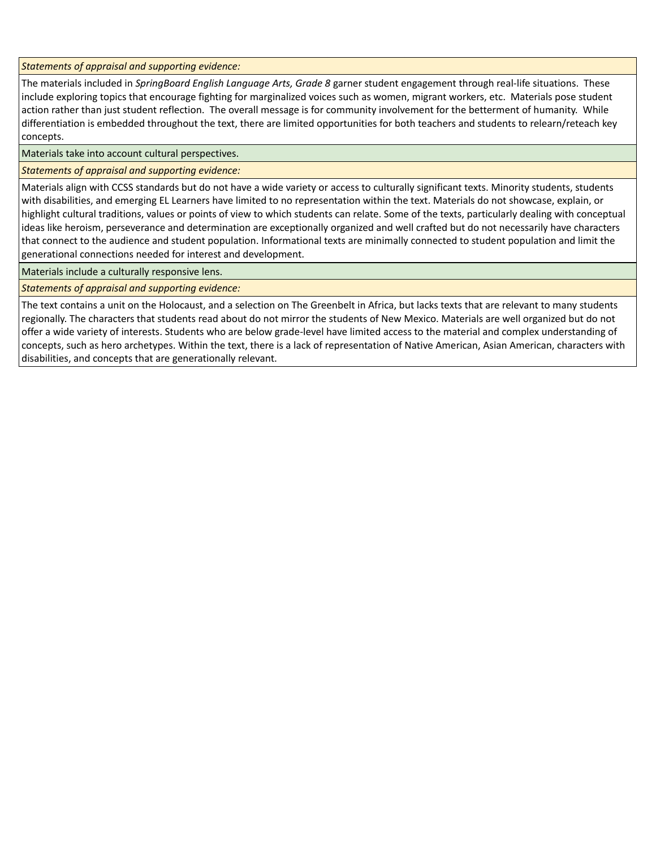*Statements of appraisal and supporting evidence:*

The materials included in *SpringBoard English Language Arts, Grade 8* garner student engagement through real-life situations. These include exploring topics that encourage fighting for marginalized voices such as women, migrant workers, etc. Materials pose student action rather than just student reflection. The overall message is for community involvement for the betterment of humanity. While differentiation is embedded throughout the text, there are limited opportunities for both teachers and students to relearn/reteach key concepts.

Materials take into account cultural perspectives.

*Statements of appraisal and supporting evidence:*

Materials align with CCSS standards but do not have a wide variety or access to culturally significant texts. Minority students, students with disabilities, and emerging EL Learners have limited to no representation within the text. Materials do not showcase, explain, or highlight cultural traditions, values or points of view to which students can relate. Some of the texts, particularly dealing with conceptual ideas like heroism, perseverance and determination are exceptionally organized and well crafted but do not necessarily have characters that connect to the audience and student population. Informational texts are minimally connected to student population and limit the generational connections needed for interest and development.

Materials include a culturally responsive lens.

*Statements of appraisal and supporting evidence:*

The text contains a unit on the Holocaust, and a selection on The Greenbelt in Africa, but lacks texts that are relevant to many students regionally. The characters that students read about do not mirror the students of New Mexico. Materials are well organized but do not offer a wide variety of interests. Students who are below grade-level have limited access to the material and complex understanding of concepts, such as hero archetypes. Within the text, there is a lack of representation of Native American, Asian American, characters with disabilities, and concepts that are generationally relevant.